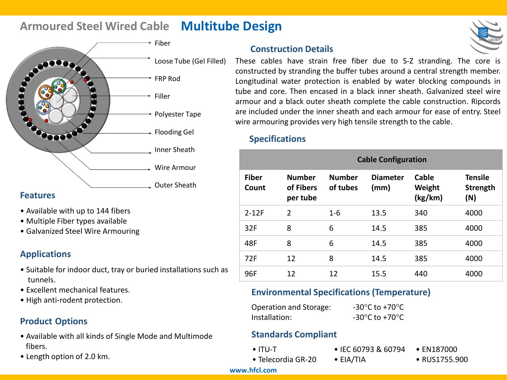# **Armoured Steel Wired Cable Multitube Design**



### **Features**

- Available with up to 144 fibers
- Multiple Fiber types available
- Galvanized Steel Wire Armouring

# **Applications**

- Suitable for indoor duct, tray or buried installations such as tunnels.
- Excellent mechanical features.
- High anti-rodent protection.

# **Product Options**

- Available with all kinds of Single Mode and Multimode fibers.
- Length option of 2.0 km.

# **Construction Details**



These cables have strain free fiber due to S-Z stranding. The core is constructed by stranding the buffer tubes around a central strength member. Longitudinal water protection is enabled by water blocking compounds in tube and core. Then encased in a black inner sheath. Galvanized steel wire armour and a black outer sheath complete the cable construction. Ripcords are included under the inner sheath and each armour for ease of entry. Steel wire armouring provides very high tensile strength to the cable.

## **Specifications**

|                       | <b>Cable Configuration</b>             |                           |                         |                            |                                   |  |
|-----------------------|----------------------------------------|---------------------------|-------------------------|----------------------------|-----------------------------------|--|
| <b>Fiber</b><br>Count | <b>Number</b><br>of Fibers<br>per tube | <b>Number</b><br>of tubes | <b>Diameter</b><br>(mm) | Cable<br>Weight<br>(kg/km) | <b>Tensile</b><br>Strength<br>(N) |  |
| $2 - 12F$             | $\overline{2}$                         | $1-6$                     | 13.5                    | 340                        | 4000                              |  |
| 32F                   | 8                                      | 6                         | 14.5                    | 385                        | 4000                              |  |
| 48F                   | 8                                      | 6                         | 14.5                    | 385                        | 4000                              |  |
| 72F                   | 12                                     | 8                         | 14.5                    | 385                        | 4000                              |  |
| 96F                   | 12                                     | 12                        | 15.5                    | 440                        | 4000                              |  |

# **Environmental Specifications (Temperature)**

| Operation and Storage: | -30 $^{\circ}$ C to +70 $^{\circ}$ C |
|------------------------|--------------------------------------|
| Installation:          | -30 $^{\circ}$ C to +70 $^{\circ}$ C |

## **Standards Compliant**

- ITU-T
- IEC 60793 & 60794 • EIA/TIA
- EN187000
- Telecordia GR-20
- - RUS1755.900

#### **www.hfcl.com**